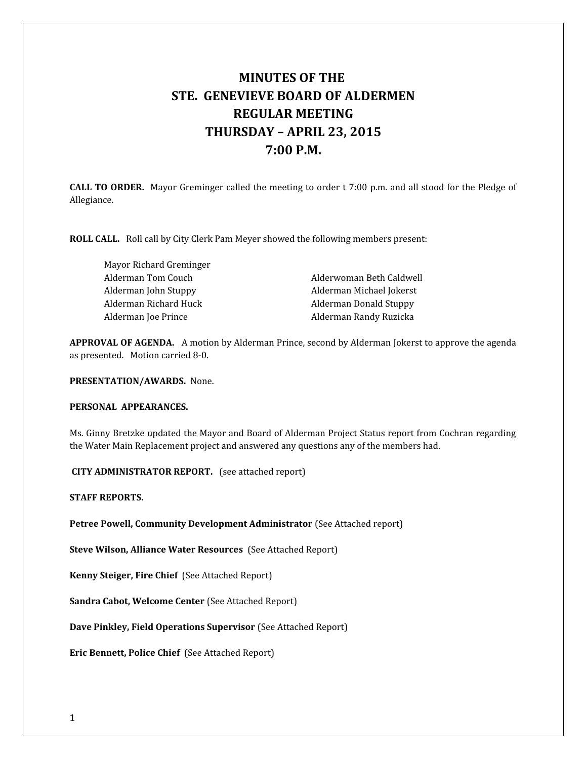# **MINUTES OF THE STE. GENEVIEVE BOARD OF ALDERMEN REGULAR MEETING THURSDAY – APRIL 23, 2015 7:00 P.M.**

**CALL TO ORDER.** Mayor Greminger called the meeting to order t 7:00 p.m. and all stood for the Pledge of Allegiance.

**ROLL CALL.** Roll call by City Clerk Pam Meyer showed the following members present:

Mayor Richard Greminger Alderman Tom Couch Alderwoman Beth Caldwell Alderman Richard Huck Alderman Donald Stuppy

Alderman John Stuppy Alderman Michael Jokerst Alderman Joe Prince **Alderman Randy Ruzicka** 

**APPROVAL OF AGENDA.** A motion by Alderman Prince, second by Alderman Jokerst to approve the agenda as presented. Motion carried 8-0.

**PRESENTATION/AWARDS.** None.

## **PERSONAL APPEARANCES.**

Ms. Ginny Bretzke updated the Mayor and Board of Alderman Project Status report from Cochran regarding the Water Main Replacement project and answered any questions any of the members had.

 **CITY ADMINISTRATOR REPORT.** (see attached report)

**STAFF REPORTS.** 

**Petree Powell, Community Development Administrator** (See Attached report)

**Steve Wilson, Alliance Water Resources** (See Attached Report)

**Kenny Steiger, Fire Chief** (See Attached Report)

**Sandra Cabot, Welcome Center** (See Attached Report)

**Dave Pinkley, Field Operations Supervisor** (See Attached Report)

**Eric Bennett, Police Chief** (See Attached Report)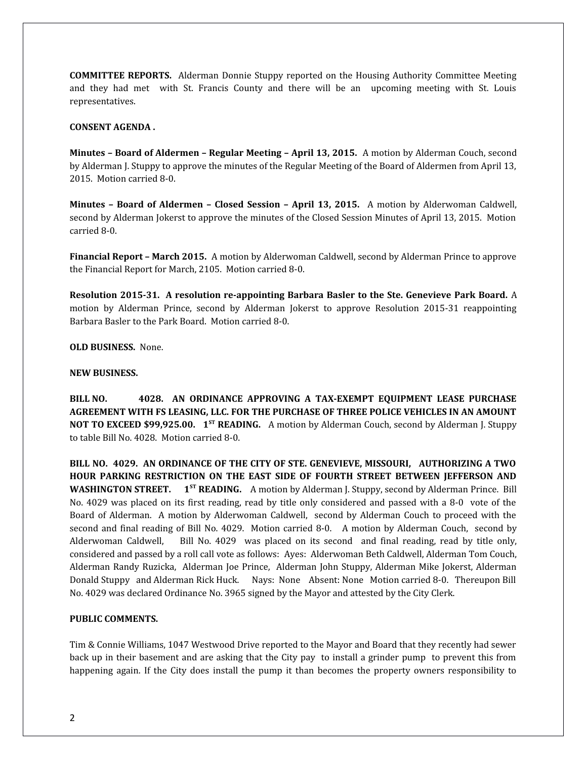**COMMITTEE REPORTS.** Alderman Donnie Stuppy reported on the Housing Authority Committee Meeting and they had met with St. Francis County and there will be an upcoming meeting with St. Louis representatives.

#### **CONSENT AGENDA .**

**Minutes – Board of Aldermen – Regular Meeting – April 13, 2015.** A motion by Alderman Couch, second by Alderman J. Stuppy to approve the minutes of the Regular Meeting of the Board of Aldermen from April 13, 2015. Motion carried 8-0.

**Minutes – Board of Aldermen – Closed Session – April 13, 2015.** A motion by Alderwoman Caldwell, second by Alderman Jokerst to approve the minutes of the Closed Session Minutes of April 13, 2015. Motion carried 8-0.

**Financial Report – March 2015.** A motion by Alderwoman Caldwell, second by Alderman Prince to approve the Financial Report for March, 2105. Motion carried 8-0.

**Resolution 2015-31. A resolution re-appointing Barbara Basler to the Ste. Genevieve Park Board.** A motion by Alderman Prince, second by Alderman Jokerst to approve Resolution 2015-31 reappointing Barbara Basler to the Park Board. Motion carried 8-0.

**OLD BUSINESS.** None.

#### **NEW BUSINESS.**

**BILL NO. 4028. AN ORDINANCE APPROVING A TAX-EXEMPT EQUIPMENT LEASE PURCHASE AGREEMENT WITH FS LEASING, LLC. FOR THE PURCHASE OF THREE POLICE VEHICLES IN AN AMOUNT NOT TO EXCEED \$99,925.00. 1ST READING.** A motion by Alderman Couch, second by Alderman J. Stuppy to table Bill No. 4028. Motion carried 8-0.

**BILL NO. 4029. AN ORDINANCE OF THE CITY OF STE. GENEVIEVE, MISSOURI, AUTHORIZING A TWO HOUR PARKING RESTRICTION ON THE EAST SIDE OF FOURTH STREET BETWEEN JEFFERSON AND** WASHINGTON STREET. 1<sup>ST</sup> READING. A motion by Alderman J. Stuppy, second by Alderman Prince. Bill No. 4029 was placed on its first reading, read by title only considered and passed with a 8-0 vote of the Board of Alderman. A motion by Alderwoman Caldwell, second by Alderman Couch to proceed with the second and final reading of Bill No. 4029. Motion carried 8-0. A motion by Alderman Couch, second by Alderwoman Caldwell, Bill No. 4029 was placed on its second and final reading, read by title only, considered and passed by a roll call vote as follows: Ayes: Alderwoman Beth Caldwell, Alderman Tom Couch, Alderman Randy Ruzicka, Alderman Joe Prince, Alderman John Stuppy, Alderman Mike Jokerst, Alderman Donald Stuppy and Alderman Rick Huck. Nays: None Absent: None Motion carried 8-0. Thereupon Bill No. 4029 was declared Ordinance No. 3965 signed by the Mayor and attested by the City Clerk.

## **PUBLIC COMMENTS.**

Tim & Connie Williams, 1047 Westwood Drive reported to the Mayor and Board that they recently had sewer back up in their basement and are asking that the City pay to install a grinder pump to prevent this from happening again. If the City does install the pump it than becomes the property owners responsibility to